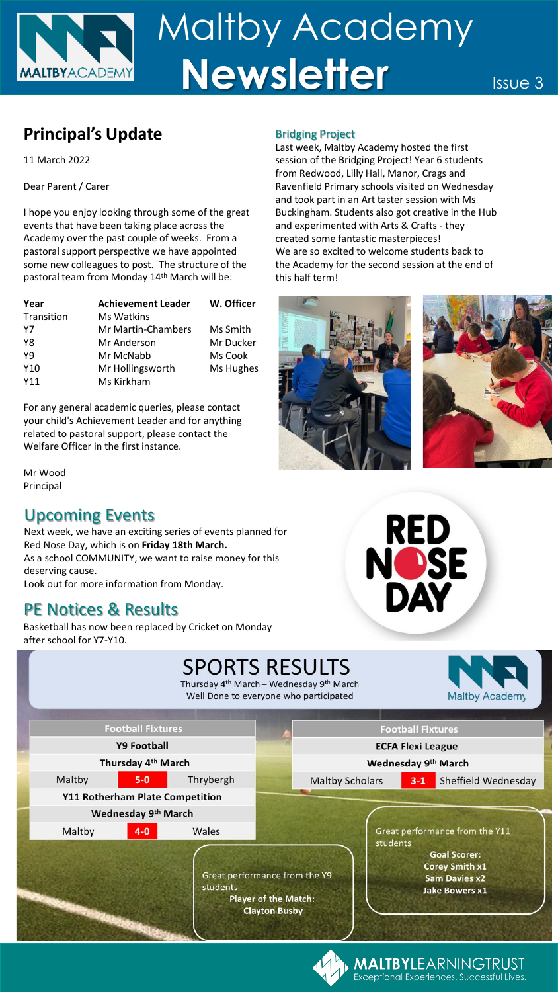

# **Principal's Update** Bridging Project

11 March 2022

Dear Parent / Carer

I hope you enjoy looking through some of the great events that have been taking place across the Academy over the past couple of weeks. From a pastoral support perspective we have appointed some new colleagues to post. The structure of the pastoral team from Monday 14th March will be:

| Year            | <b>Achievement Leader</b> | W. Officer |
|-----------------|---------------------------|------------|
| Transition      | Ms Watkins                |            |
| Y7              | <b>Mr Martin-Chambers</b> | Ms Smith   |
| Y8              | Mr Anderson               | Mr Ducker  |
| Y9              | Mr McNabb                 | Ms Cook    |
| Y <sub>10</sub> | Mr Hollingsworth          | Ms Hughes  |
| Y11             | Ms Kirkham                |            |

For any general academic queries, please contact your child's Achievement Leader and for anything related to pastoral support, please contact the Welfare Officer in the first instance.

Mr Wood Principal

## Upcoming Events

Next week, we have an exciting series of events planned for Red Nose Day, which is on **Friday 18th March.** As a school COMMUNITY, we want to raise money for this deserving cause. Look out for more information from Monday.

## PE Notices & Results

Basketball has now been replaced by Cricket on Monday after school for Y7-Y10.



Last week, Maltby Academy hosted the first session of the Bridging Project! Year 6 students from Redwood, Lilly Hall, Manor, Crags and Ravenfield Primary schools visited on Wednesday and took part in an Art taster session with Ms Buckingham. Students also got creative in the Hub and experimented with Arts & Crafts - they created some fantastic masterpieces! We are so excited to welcome students back to the Academy for the second session at the end of this half term!

RED<br>NOSE<br>DAY

**MALTBY**LEARNINGTRUST Exceptional Experiences. Successful Lives.